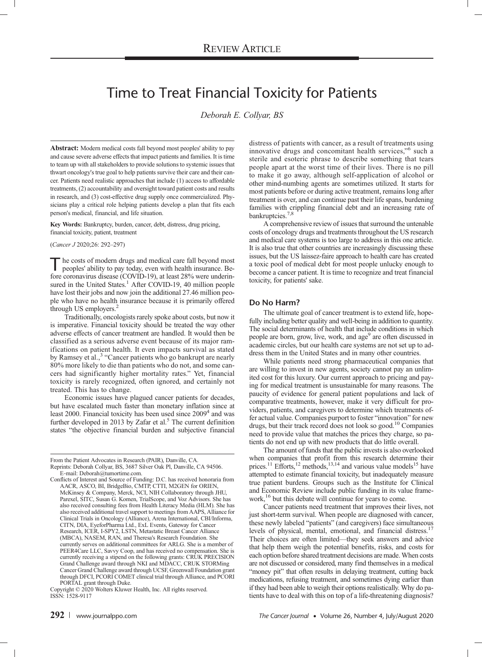# Time to Treat Financial Toxicity for Patients

Deborah E. Collyar, BS

Abstract: Modern medical costs fall beyond most peoples' ability to pay and cause severe adverse effects that impact patients and families. It is time to team up with all stakeholders to provide solutions to systemic issues that thwart oncology's true goal to help patients survive their care and their cancer. Patients need realistic approaches that include (1) access to affordable treatments, (2) accountability and oversight toward patient costs and results in research, and (3) cost-effective drug supply once commercialized. Physicians play a critical role helping patients develop a plan that fits each person's medical, financial, and life situation.

Key Words: Bankruptcy, burden, cancer, debt, distress, drug pricing,

financial toxicity, patient, treatment

(Cancer J 2020;26: 292–297)

The costs of modern drugs and medical care fall beyond most<br>peoples' ability to pay today, even with health insurance. Be-<br>fore coronavirus disease (COVID-19), at least 28% were underin-<br>sured in the United States.<sup>1</sup> Afte peoples' ability to pay today, even with health insurance. Before coronavirus disease (COVID-19), at least 28% were underinsured in the United States.<sup>1</sup> After COVID-19, 40 million people have lost their jobs and now join the additional 27.46 million people who have no health insurance because it is primarily offered through US employers. $<sup>2</sup>$ </sup>

Traditionally, oncologists rarely spoke about costs, but now it is imperative. Financial toxicity should be treated the way other adverse effects of cancer treatment are handled. It would then be classified as a serious adverse event because of its major ramifications on patient health. It even impacts survival as stated by Ramsey et al.,<sup>3</sup> "Cancer patients who go bankrupt are nearly 80% more likely to die than patients who do not, and some cancers had significantly higher mortality rates." Yet, financial toxicity is rarely recognized, often ignored, and certainly not treated. This has to change.

Economic issues have plagued cancer patients for decades, but have escalated much faster than monetary inflation since at least 2000. Financial toxicity has been used since  $2009<sup>4</sup>$  and was further developed in 2013 by Zafar et al. $5$  The current definition states "the objective financial burden and subjective financial

From the Patient Advocates in Research (PAIR), Danville, CA.

distress of patients with cancer, as a result of treatments using innovative drugs and concomitant health services,"<sup>6</sup> such a sterile and esoteric phrase to describe something that tears people apart at the worst time of their lives. There is no pill to make it go away, although self-application of alcohol or other mind-numbing agents are sometimes utilized. It starts for most patients before or during active treatment, remains long after treatment is over, and can continue past their life spans, burdening families with crippling financial debt and an increasing rate of bankruptcies.<sup>7,8</sup>

A comprehensive review of issues that surround the untenable costs of oncology drugs and treatments throughout the US research and medical care systems is too large to address in this one article. It is also true that other countries are increasingly discussing these issues, but the US laissez-faire approach to health care has created a toxic pool of medical debt for most people unlucky enough to become a cancer patient. It is time to recognize and treat financial toxicity, for patients' sake.

## Do No Harm?

The ultimate goal of cancer treatment is to extend life, hopefully including better quality and well-being in addition to quantity. The social determinants of health that include conditions in which people are born, grow, live, work, and age<sup>9</sup> are often discussed in academic circles, but our health care systems are not set up to address them in the United States and in many other countries.

While patients need strong pharmaceutical companies that are willing to invest in new agents, society cannot pay an unlimited cost for this luxury. Our current approach to pricing and paying for medical treatment is unsustainable for many reasons. The paucity of evidence for general patient populations and lack of comparative treatments, however, make it very difficult for providers, patients, and caregivers to determine which treatments offer actual value. Companies purport to foster "innovation" for new drugs, but their track record does not look so good.<sup>10</sup> Companies need to provide value that matches the prices they charge, so patients do not end up with new products that do little overall.

The amount of funds that the public invests is also overlooked when companies that profit from this research determine their prices.<sup>11</sup> Efforts,<sup>12</sup> methods,<sup>13,14</sup> and various value models<sup>15</sup> have attempted to estimate financial toxicity, but inadequately measure true patient burdens. Groups such as the Institute for Clinical and Economic Review include public funding in its value framework,<sup>16</sup> but this debate will continue for years to come.

Cancer patients need treatment that improves their lives, not just short-term survival. When people are diagnosed with cancer, these newly labeled "patients" (and caregivers) face simultaneous levels of physical, mental, emotional, and financial distress.<sup>1</sup> Their choices are often limited—they seek answers and advice that help them weigh the potential benefits, risks, and costs for each option before shared treatment decisions are made. When costs are not discussed or considered, many find themselves in a medical "money pit" that often results in delaying treatment, cutting back medications, refusing treatment, and sometimes dying earlier than if they had been able to weigh their options realistically. Why do patients have to deal with this on top of a life-threatening diagnosis?

Reprints: Deborah Collyar, BS, 3687 Silver Oak Pl, Danville, CA 94506. E‐mail: [Deborah@tumortime.com.](mailto:Deborah@tumortime.com)

Conflicts of Interest and Source of Funding: D.C. has received honoraria from AACR, ASCO, BI, BridgeBio, CMTP, CTTI, M2GEN for ORIEN, McKinsey & Company, Merck, NCI, NIH Collaboratory through JHU, Parexel, SITC, Susan G. Komen, TrialScope, and Voz Advisors. She has also received consulting fees from Health Literacy Media (HLM). She has also received additional travel support to meetings from AAPS, Alliance for Clinical Trials in Oncology (Alliance), Arena International, CBI/Informa, CITN, DIA, EyeforPharma Ltd., ExL Events, Gateway for Cancer Research, ICER, I-SPY2, LSTN, Metastatic Breast Cancer Alliance (MBCA), NASEM, RAN, and Theresa's Research Foundation. She currently serves on additional committees for ARLG. She is a member of PEER4Care LLC, Savvy Coop, and has received no compensation. She is currently receiving a stipend on the following grants: CRUK PRECISION Grand Challenge award through NKI and MDACC, CRUK STORMing Cancer Grand Challenge award through UCSF, Greenwall Foundation grant through DFCI, PCORI COMET clinical trial through Alliance, and PCORI

PORTAL grant through Duke. Copyright © 2020 Wolters Kluwer Health, Inc. All rights reserved. ISSN: 1528-9117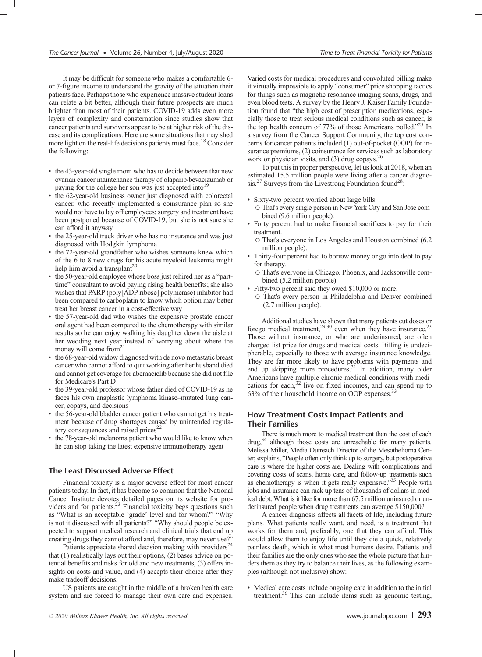It may be difficult for someone who makes a comfortable 6 or 7-figure income to understand the gravity of the situation their patients face. Perhaps those who experience massive student loans can relate a bit better, although their future prospects are much brighter than most of their patients. COVID-19 adds even more layers of complexity and consternation since studies show that cancer patients and survivors appear to be at higher risk of the disease and its complications. Here are some situations that may shed more light on the real-life decisions patients must face.<sup>18</sup> Consider the following:

- the 43-year-old single mom who has to decide between that new ovarian cancer maintenance therapy of olaparib/bevacizumab or paying for the college her son was just accepted into<sup>19</sup>
- the 62-year-old business owner just diagnosed with colorectal cancer, who recently implemented a coinsurance plan so she would not have to lay off employees; surgery and treatment have been postponed because of COVID-19, but she is not sure she can afford it anyway
- the 25-year-old truck driver who has no insurance and was just diagnosed with Hodgkin lymphoma
- the 72-year-old grandfather who wishes someone knew which of the 6 to 8 new drugs for his acute myeloid leukemia might help him avoid a transplant<sup>20</sup>
- the 50-year-old employee whose boss just rehired her as a "parttime" consultant to avoid paying rising health benefits; she also wishes that PARP (poly[ADP ribose] polymerase) inhibitor had been compared to carboplatin to know which option may better treat her breast cancer in a cost-effective way
- the 57-year-old dad who wishes the expensive prostate cancer oral agent had been compared to the chemotherapy with similar results so he can enjoy walking his daughter down the aisle at her wedding next year instead of worrying about where the money will come from  $21$
- the 68-year-old widow diagnosed with de novo metastatic breast cancer who cannot afford to quit working after her husband died and cannot get coverage for abemaciclib because she did not file for Medicare's Part D
- the 39-year-old professor whose father died of COVID-19 as he faces his own anaplastic lymphoma kinase–mutated lung cancer, copays, and decisions
- the 56-year-old bladder cancer patient who cannot get his treatment because of drug shortages caused by unintended regulatory consequences and raised prices $22$
- the 78-year-old melanoma patient who would like to know when he can stop taking the latest expensive immunotherapy agent

## The Least Discussed Adverse Effect

Financial toxicity is a major adverse effect for most cancer patients today. In fact, it has become so common that the National Cancer Institute devotes detailed pages on its website for providers and for patients.<sup>23</sup> Financial toxicity begs questions such as "What is an acceptable 'grade' level and for whom?" "Why is not it discussed with all patients?" "Why should people be expected to support medical research and clinical trials that end up creating drugs they cannot afford and, therefore, may never use?

Patients appreciate shared decision making with providers<sup>24</sup> that (1) realistically lays out their options, (2) bases advice on potential benefits and risks for old and new treatments, (3) offers insights on costs and value, and (4) accepts their choice after they make tradeoff decisions.

US patients are caught in the middle of a broken health care system and are forced to manage their own care and expenses.

Varied costs for medical procedures and convoluted billing make it virtually impossible to apply "consumer" price shopping tactics for things such as magnetic resonance imaging scans, drugs, and even blood tests. A survey by the Henry J. Kaiser Family Foundation found that "the high cost of prescription medications, especially those to treat serious medical conditions such as cancer, is the top health concern of 77% of those Americans polled."<sup>25'</sup> In a survey from the Cancer Support Community, the top cost concerns for cancer patients included (1) out-of-pocket (OOP) for insurance premiums, (2) coinsurance for services such as laboratory work or physician visits, and (3) drug copays.<sup>26</sup>

To put this in proper perspective, let us look at 2018, when an estimated 15.5 million people were living after a cancer diagnosis.<sup>27</sup> Surveys from the Livestrong Foundation found<sup>28</sup>:

- Sixty-two percent worried about large bills.
	- That's every single person in New York City and San Jose combined (9.6 million people).
- Forty percent had to make financial sacrifices to pay for their treatment.
- That's everyone in Los Angeles and Houston combined (6.2 million people).
- Thirty-four percent had to borrow money or go into debt to pay for therapy.
	- That's everyone in Chicago, Phoenix, and Jacksonville combined (5.2 million people).
- Fifty-two percent said they owed \$10,000 or more.
	- That's every person in Philadelphia and Denver combined (2.7 million people).

Additional studies have shown that many patients cut doses or forego medical treatment, $29,30$  even when they have insurance.<sup>2</sup> Those without insurance, or who are underinsured, are often charged list price for drugs and medical costs. Billing is undecipherable, especially to those with average insurance knowledge. They are far more likely to have problems with payments and end up skipping more procedures.<sup>31</sup> In addition, many older Americans have multiple chronic medical conditions with medications for each, $32$  live on fixed incomes, and can spend up to 63% of their household income on OOP expenses.33

## How Treatment Costs Impact Patients and Their Families

There is much more to medical treatment than the cost of each drug,<sup>34</sup> although those costs are unreachable for many patients. Melissa Miller, Media Outreach Director of the Mesothelioma Center, explains, "People often only think up to surgery, but postoperative care is where the higher costs are. Dealing with complications and covering costs of scans, home care, and follow-up treatments such as chemotherapy is when it gets really expensive."<sup>35</sup> People with jobs and insurance can rack up tens of thousands of dollars in medical debt. What is it like for more than 67.5 million uninsured or underinsured people when drug treatments can average \$150,000?

A cancer diagnosis affects all facets of life, including future plans. What patients really want, and need, is a treatment that works for them and, preferably, one that they can afford. This would allow them to enjoy life until they die a quick, relatively painless death, which is what most humans desire. Patients and their families are the only ones who see the whole picture that hinders them as they try to balance their lives, as the following examples (although not inclusive) show:

• Medical care costs include ongoing care in addition to the initial treatment.<sup>36</sup> This can include items such as genomic testing,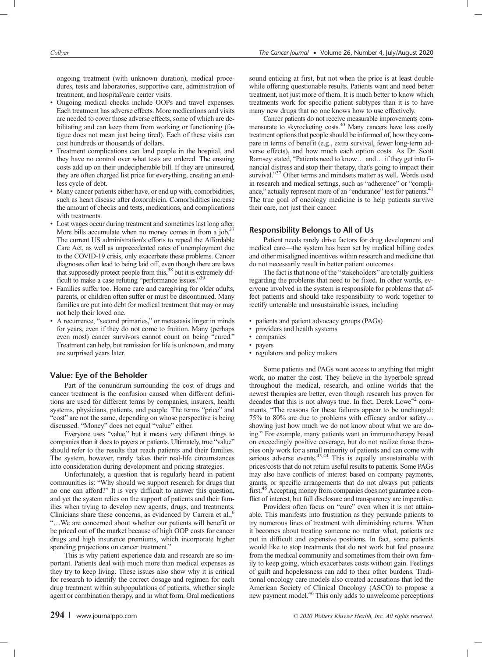ongoing treatment (with unknown duration), medical procedures, tests and laboratories, supportive care, administration of treatment, and hospital/care center visits.

- Ongoing medical checks include OOPs and travel expenses. Each treatment has adverse effects. More medications and visits are needed to cover those adverse effects, some of which are debilitating and can keep them from working or functioning (fatigue does not mean just being tired). Each of these visits can cost hundreds or thousands of dollars.
- Treatment complications can land people in the hospital, and they have no control over what tests are ordered. The ensuing costs add up on their undecipherable bill. If they are uninsured, they are often charged list price for everything, creating an endless cycle of debt.
- Many cancer patients either have, or end up with, comorbidities, such as heart disease after doxorubicin. Comorbidities increase the amount of checks and tests, medications, and complications with treatments.
- Lost wages occur during treatment and sometimes last long after. More bills accumulate when no money comes in from a job.<sup>3</sup> The current US administration's efforts to repeal the Affordable Care Act, as well as unprecedented rates of unemployment due to the COVID-19 crisis, only exacerbate these problems. Cancer diagnoses often lead to being laid off, even though there are laws that supposedly protect people from this,<sup>38</sup> but it is extremely diffusive to make a case refuting "performance issues"<sup>39</sup> ficult to make a case refuting "performance issues."
- Families suffer too. Home care and caregiving for older adults, parents, or children often suffer or must be discontinued. Many families are put into debt for medical treatment that may or may not help their loved one.
- A recurrence, "second primaries," or metastasis linger in minds for years, even if they do not come to fruition. Many (perhaps even most) cancer survivors cannot count on being "cured." Treatment can help, but remission for life is unknown, and many are surprised years later.

## Value: Eye of the Beholder

Part of the conundrum surrounding the cost of drugs and cancer treatment is the confusion caused when different definitions are used for different terms by companies, insurers, health systems, physicians, patients, and people. The terms "price" and "cost" are not the same, depending on whose perspective is being discussed. "Money" does not equal "value" either.

Everyone uses "value," but it means very different things to companies than it does to payers or patients. Ultimately, true "value" should refer to the results that reach patients and their families. The system, however, rarely takes their real-life circumstances into consideration during development and pricing strategies.

Unfortunately, a question that is regularly heard in patient communities is: "Why should we support research for drugs that no one can afford?" It is very difficult to answer this question, and yet the system relies on the support of patients and their families when trying to develop new agents, drugs, and treatments. Clinicians share these concerns, as evidenced by Carrera et al.,<sup>6</sup> "…We are concerned about whether our patients will benefit or be priced out of the market because of high OOP costs for cancer drugs and high insurance premiums, which incorporate higher spending projections on cancer treatment."

This is why patient experience data and research are so important. Patients deal with much more than medical expenses as they try to keep living. These issues also show why it is critical for research to identify the correct dosage and regimen for each drug treatment within subpopulations of patients, whether single agent or combination therapy, and in what form. Oral medications

sound enticing at first, but not when the price is at least double while offering questionable results. Patients want and need better treatment, not just more of them. It is much better to know which treatments work for specific patient subtypes than it is to have many new drugs that no one knows how to use effectively.

Cancer patients do not receive measurable improvements com-<br>mensurate to skyrocketing costs.<sup>40</sup> Many cancers have less costly treatment options that people should be informed of, how they compare in terms of benefit (e.g., extra survival, fewer long-term adverse effects), and how much each option costs. As Dr. Scott Ramsey stated, "Patients need to know… and… if they get into financial distress and stop their therapy, that's going to impact their survival."<sup>37</sup> Other terms and mindsets matter as well. Words used in research and medical settings, such as "adherence" or "compliance," actually represent more of an "endurance" test for patients.<sup>41</sup> The true goal of oncology medicine is to help patients survive their care, not just their cancer.

# Responsibility Belongs to All of Us

Patient needs rarely drive factors for drug development and medical care—the system has been set by medical billing codes and other misaligned incentives within research and medicine that do not necessarily result in better patient outcomes.

The fact is that none of the "stakeholders" are totally guiltless regarding the problems that need to be fixed. In other words, everyone involved in the system is responsible for problems that affect patients and should take responsibility to work together to rectify untenable and unsustainable issues, including

- patients and patient advocacy groups (PAGs)
- providers and health systems
- companies
- payers • regulators and policy makers

Some patients and PAGs want access to anything that might work, no matter the cost. They believe in the hyperbole spread throughout the medical, research, and online worlds that the newest therapies are better, even though research has proven for decades that this is not always true. In fact, Derek Lowe<sup>42</sup> comments, "The reasons for these failures appear to be unchanged: 75% to 80% are due to problems with efficacy and/or safety… showing just how much we do not know about what we are doing." For example, many patients want an immunotherapy based on exceedingly positive coverage, but do not realize those therapies only work for a small minority of patients and can come with serious adverse events.<sup>43,44</sup> This is equally unsustainable with prices/costs that do not return useful results to patients. Some PAGs may also have conflicts of interest based on company payments, grants, or specific arrangements that do not always put patients first.45 Accepting money from companies does not guarantee a conflict of interest, but full disclosure and transparency are imperative.

Providers often focus on "cure" even when it is not attainable. This manifests into frustration as they persuade patients to try numerous lines of treatment with diminishing returns. When it becomes about treating someone no matter what, patients are put in difficult and expensive positions. In fact, some patients would like to stop treatments that do not work but feel pressure from the medical community and sometimes from their own family to keep going, which exacerbates costs without gain. Feelings of guilt and hopelessness can add to their other burdens. Traditional oncology care models also created accusations that led the American Society of Clinical Oncology (ASCO) to propose a new payment model.46 This only adds to unwelcome perceptions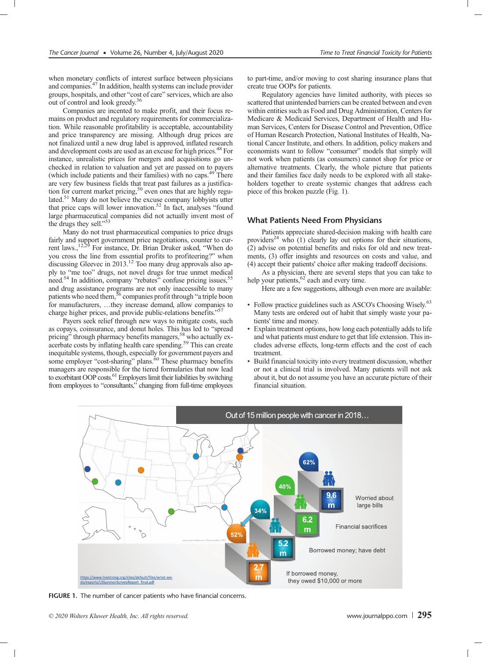when monetary conflicts of interest surface between physicians and companies.47 In addition, health systems can include provider groups, hospitals, and other "cost of care" services, which are also out of control and look greedy.36

Companies are incented to make profit, and their focus remains on product and regulatory requirements for commercialization. While reasonable profitability is acceptable, accountability and price transparency are missing. Although drug prices are not finalized until a new drug label is approved, inflated research and development costs are used as an excuse for high prices.<sup>48</sup> For instance, unrealistic prices for mergers and acquisitions go unchecked in relation to valuation and yet are passed on to payers (which include patients and their families) with no caps.<sup>49</sup> There are very few business fields that treat past failures as a justification for current market pricing,<sup>50</sup> even ones that are highly regulated.<sup>51</sup> Many do not believe the excuse company lobbyists utter that price caps will lower innovation.<sup>52</sup> In fact, analyses "found large pharmaceutical companies did not actually invent most of the drugs they sell."<sup>53</sup>

Many do not trust pharmaceutical companies to price drugs fairly and support government price negotiations, counter to cur-<br>rent laws.,<sup>12,29</sup> For instance, Dr. Brian Druker asked, "When do you cross the line from essential profits to profiteering?" when discussing Gleevec in 2013.<sup>12</sup> Too many drug approvals also apply to "me too" drugs, not novel drugs for true unmet medical need.<sup>54</sup> In addition, company "rebates" confuse pricing issues,<sup>5</sup> and drug assistance programs are not only inaccessible to many patients who need them,<sup>56</sup> companies profit through "a triple boon for manufacturers, …they increase demand, allow companies to charge higher prices, and provide public-relations benefits."<sup>57</sup>

Payers seek relief through new ways to mitigate costs, such as copays, coinsurance, and donut holes. This has led to "spread pricing" through pharmacy benefits managers,<sup>58</sup> who actually exacerbate costs by inflating health care spending.<sup>59</sup> This can create inequitable systems, though, especially for government payers and some employer "cost-sharing" plans.<sup>60</sup> These pharmacy benefits managers are responsible for the tiered formularies that now lead to exorbitant OOP costs.<sup>61</sup> Employers limit their liabilities by switching from employees to "consultants," changing from full-time employees

to part-time, and/or moving to cost sharing insurance plans that create true OOPs for patients.

Regulatory agencies have limited authority, with pieces so scattered that unintended barriers can be created between and even within entities such as Food and Drug Administration, Centers for Medicare & Medicaid Services, Department of Health and Human Services, Centers for Disease Control and Prevention, Office of Human Research Protection, National Institutes of Health, National Cancer Institute, and others. In addition, policy makers and economists want to follow "consumer" models that simply will not work when patients (as consumers) cannot shop for price or alternative treatments. Clearly, the whole picture that patients and their families face daily needs to be explored with all stakeholders together to create systemic changes that address each piece of this broken puzzle (Fig. 1).

#### What Patients Need From Physicians

Patients appreciate shared-decision making with health care providers<sup>24</sup> who  $(1)$  clearly lay out options for their situations, (2) advise on potential benefits and risks for old and new treatments, (3) offer insights and resources on costs and value, and (4) accept their patients' choice after making tradeoff decisions.

As a physician, there are several steps that you can take to help your patients,<sup>62</sup> each and every time.

Here are a few suggestions, although even more are available:

- Follow practice guidelines such as ASCO's Choosing Wisely.<sup>63</sup> Many tests are ordered out of habit that simply waste your patients' time and money.
- Explain treatment options, how long each potentially adds to life and what patients must endure to get that life extension. This includes adverse effects, long-term effects and the cost of each treatment.
- Build financial toxicity into every treatment discussion, whether or not a clinical trial is involved. Many patients will not ask about it, but do not assume you have an accurate picture of their financial situation.



FIGURE 1. The number of cancer patients who have financial concerns.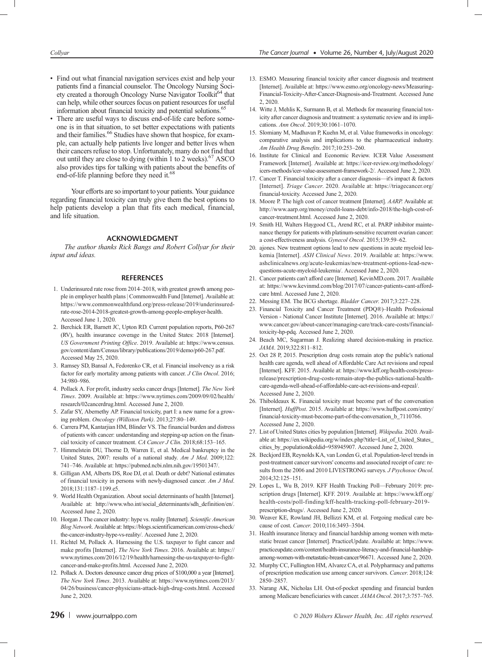- Find out what financial navigation services exist and help your patients find a financial counselor. The Oncology Nursing Society created a thorough Oncology Nurse Navigator Toolkit<sup>64</sup> that can help, while other sources focus on patient resources for useful information about financial toxicity and potential solutions.<sup>67</sup>
- There are useful ways to discuss end-of-life care before someone is in that situation, to set better expectations with patients and their families.<sup>66</sup> Studies have shown that hospice, for example, can actually help patients live longer and better lives when their cancers refuse to stop. Unfortunately, many do not find that out until they are close to dying (within 1 to 2 weeks).<sup>67</sup> ASCO also provides tips for talking with patients about the benefits of end-of-life planning before they need it.<sup>68</sup>

Your efforts are so important to your patients. Your guidance regarding financial toxicity can truly give them the best options to help patients develop a plan that fits each medical, financial, and life situation.

#### ACKNOWLEDGMENT

The author thanks Rick Bangs and Robert Collyar for their input and ideas.

#### **REFERENCES**

- 1. Underinsured rate rose from 2014–2018, with greatest growth among people in employer health plans | Commonwealth Fund [Internet]. Available at: [https://www.commonwealthfund.org/press-release/2019/underinsured](https://www.commonwealthfund.org/press-release/2019/underinsured-rate-rose-2014-2018-greatest-growth-among-people-employer-health)[rate-rose-2014-2018-greatest-growth-among-people-employer-health.](https://www.commonwealthfund.org/press-release/2019/underinsured-rate-rose-2014-2018-greatest-growth-among-people-employer-health) Accessed June 1, 2020.
- 2. Berchick ER, Barnett JC, Upton RD. Current population reports, P60-267 (RV), health insurance coverage in the United States: 2018 [Internet]. US Government Printing Office. 2019. Available at: [https://www.census.](https://www.census.gov/content/dam/Census/library/publications/2019/demo/p60-267.pdf) [gov/content/dam/Census/library/publications/2019/demo/p60-267.pdf](https://www.census.gov/content/dam/Census/library/publications/2019/demo/p60-267.pdf). Accessed May 25, 2020.
- 3. Ramsey SD, Bansal A, Fedorenko CR, et al. Financial insolvency as a risk factor for early mortality among patients with cancer. J Clin Oncol. 2016; 34:980–986.
- 4. Pollack A. For profit, industry seeks cancer drugs [Internet]. The New York Times. 2009. Available at: [https://www.nytimes.com/2009/09/02/health/](https://www.nytimes.com/2009/09/02/health/research/02cancerdrug.html) [research/02cancerdrug.html.](https://www.nytimes.com/2009/09/02/health/research/02cancerdrug.html) Accessed June 2, 2020.
- 5. Zafar SY, Abernethy AP. Financial toxicity, part I: a new name for a growing problem. Oncology (Williston Park). 2013;27:80–149.
- 6. Carrera PM, Kantarjian HM, Blinder VS. The financial burden and distress of patients with cancer: understanding and stepping-up action on the financial toxicity of cancer treatment. CA Cancer J Clin. 2018;68:153-165.
- 7. Himmelstein DU, Thorne D, Warren E, et al. Medical bankruptcy in the United States, 2007: results of a national study. Am J Med. 2009;122: 741–746. Available at: [https://pubmed.ncbi.nlm.nih.gov/19501347/.](https://pubmed.ncbi.nlm.nih.gov/19501347/)
- 8. Gilligan AM, Alberts DS, Roe DJ, et al. Death or debt? National estimates of financial toxicity in persons with newly-diagnosed cancer. Am J Med. 2018;131:1187–1199.e5.
- 9. World Health Organization. About social determinants of health [Internet]. Available at: [http://www.who.int/social\\_determinants/sdh\\_definition/en/](http://www.who.int/social_determinants/sdh_definition/en/). Accessed June 2, 2020.
- 10. Horgan J. The cancer industry: hype vs. reality [Internet]. Scientific American Blog Network. Available at: [https://blogs.scientificamerican.com/cross-check/](https://blogs.scientificamerican.com/cross-check/the-cancer-industry-hype-vs-reality/) [the-cancer-industry-hype-vs-reality/](https://blogs.scientificamerican.com/cross-check/the-cancer-industry-hype-vs-reality/). Accessed June 2, 2020.
- 11. Richtel M, Pollack A. Harnessing the U.S. taxpayer to fight cancer and make profits [Internet]. The New York Times. 2016. Available at: [https://](https://www.nytimes.com/2016/12/19/health/harnessing-the-us-taxpayer-to-fight-cancer-and-make-profits.html) [www.nytimes.com/2016/12/19/health/harnessing-the-us-taxpayer-to-fight](https://www.nytimes.com/2016/12/19/health/harnessing-the-us-taxpayer-to-fight-cancer-and-make-profits.html)[cancer-and-make-profits.html](https://www.nytimes.com/2016/12/19/health/harnessing-the-us-taxpayer-to-fight-cancer-and-make-profits.html). Accessed June 2, 2020.
- 12. Pollack A. Doctors denounce cancer drug prices of \$100,000 a year [Internet]. The New York Times. 2013. Available at: [https://www.nytimes.com/2013/](https://www.nytimes.com/2013/04/26/business/cancer-physicians-attack-high-drug-costs.html) [04/26/business/cancer-physicians-attack-high-drug-costs.html](https://www.nytimes.com/2013/04/26/business/cancer-physicians-attack-high-drug-costs.html). Accessed June 2, 2020.
- 13. ESMO. Measuring financial toxicity after cancer diagnosis and treatment [Internet]. Available at: [https://www.esmo.org/oncology-news/Measuring-](https://www.esmo.org/oncology-news/Measuring-Financial-Toxicity-After-Cancer-Diagnosis-and-Treatment)[Financial-Toxicity-After-Cancer-Diagnosis-and-Treatment.](https://www.esmo.org/oncology-news/Measuring-Financial-Toxicity-After-Cancer-Diagnosis-and-Treatment) Accessed June 2, 2020.
- 14. Witte J, Mehlis K, Surmann B, et al. Methods for measuring financial toxicity after cancer diagnosis and treatment: a systematic review and its implications. Ann Oncol. 2019;30:1061–1070.
- 15. Slomiany M, Madhavan P, Kuehn M, et al. Value frameworks in oncology: comparative analysis and implications to the pharmaceutical industry. Am Health Drug Benefits. 2017;10:253–260.
- 16. Institute for Clinical and Economic Review. ICER Value Assessment Framework [Internet]. Available at: [https://icer-review.org/methodology/](https://icer-review.org/methodology/icers-methods/icer-value-assessment-framework-2/) [icers-methods/icer-value-assessment-framework-2/](https://icer-review.org/methodology/icers-methods/icer-value-assessment-framework-2/). Accessed June 2, 2020.
- 17. Cancer T. Financial toxicity after a cancer diagnosis—it's impact & factors [Internet]. Triage Cancer. 2020. Available at: [https://triagecancer.org/](https://triagecancer.org/financial-toxicity) [financial-toxicity.](https://triagecancer.org/financial-toxicity) Accessed June 2, 2020.
- 18. Moore P. The high cost of cancer treatment [Internet]. AARP. Available at: [http://www.aarp.org/money/credit-loans-debt/info-2018/the-high-cost-of](http://www.aarp.org/money/credit-loans-debt/info-2018/the-high-cost-of-cancer-treatment.html)[cancer-treatment.html.](http://www.aarp.org/money/credit-loans-debt/info-2018/the-high-cost-of-cancer-treatment.html) Accessed June 2, 2020.
- 19. Smith HJ, Walters Haygood CL, Arend RC, et al. PARP inhibitor maintenance therapy for patients with platinum-sensitive recurrent ovarian cancer: a cost-effectiveness analysis. Gynecol Oncol. 2015;139:59–62.
- 20. ajones. New treatment options lead to new questions in acute myeloid leukemia [Internet]. ASH Clinical News. 2019. Available at: [https://www.](https://www.ashclinicalnews.org/acute-leukemias/new-treatment-options-lead-new-questions-acute-myeloid-leukemia/) [ashclinicalnews.org/acute-leukemias/new-treatment-options-lead-new](https://www.ashclinicalnews.org/acute-leukemias/new-treatment-options-lead-new-questions-acute-myeloid-leukemia/)[questions-acute-myeloid-leukemia/](https://www.ashclinicalnews.org/acute-leukemias/new-treatment-options-lead-new-questions-acute-myeloid-leukemia/). Accessed June 2, 2020.
- 21. Cancer patients can't afford care [Internet]. [KevinMD.com.](http://KevinMD.com) 2017. Available at: [https://www.kevinmd.com/blog/2017/07/cancer-patients-cant-afford](https://www.kevinmd.com/blog/2017/07/cancer-patients-cant-afford-care%20html)[care html.](https://www.kevinmd.com/blog/2017/07/cancer-patients-cant-afford-care%20html) Accessed June 2, 2020.
- 22. Messing EM. The BCG shortage. Bladder Cancer. 2017;3:227–228.
- 23. Financial Toxicity and Cancer Treatment (PDQ®)–Health Professional Version - National Cancer Institute [Internet]. 2016. Available at: [https://](https://www.cancer.gov/about-cancer/managing-care/track-care-costs/financial-toxicity-hp-pdq) [www.cancer.gov/about-cancer/managing-care/track-care-costs/financial](https://www.cancer.gov/about-cancer/managing-care/track-care-costs/financial-toxicity-hp-pdq)[toxicity-hp-pdq](https://www.cancer.gov/about-cancer/managing-care/track-care-costs/financial-toxicity-hp-pdq). Accessed June 2, 2020.
- 24. Beach MC, Sugarman J. Realizing shared decision-making in practice. JAMA. 2019;322:811–812.
- 25. Oct 28 P, 2015. Prescription drug costs remain atop the public's national health care agenda, well ahead of Affordable Care Act revisions and repeal [Internet]. KFF. 2015. Available at: [https://www.kff.org/health-costs/press](https://www.kff.org/health-costs/press-release/prescription-drug-costs-remain-atop-the-publics-national-health-care-agenda-well-ahead-of-affordable-care-act-revisions-and-repeal/)[release/prescription-drug-costs-remain-atop-the-publics-national-health](https://www.kff.org/health-costs/press-release/prescription-drug-costs-remain-atop-the-publics-national-health-care-agenda-well-ahead-of-affordable-care-act-revisions-and-repeal/)[care-agenda-well-ahead-of-affordable-care-act-revisions-and-repeal/.](https://www.kff.org/health-costs/press-release/prescription-drug-costs-remain-atop-the-publics-national-health-care-agenda-well-ahead-of-affordable-care-act-revisions-and-repeal/) Accessed June 2, 2020.
- 26. Thiboldeaux K. Financial toxicity must become part of the conversation [Internet]. HuffPost. 2015. Available at: [https://www.huffpost.com/entry/](https://www.huffpost.com/entry/financial-toxicity-must-become-part-of-the-conversation_b_7110766) [financial-toxicity-must-become-part-of-the-conversation\\_b\\_7110766](https://www.huffpost.com/entry/financial-toxicity-must-become-part-of-the-conversation_b_7110766). Accessed June 2, 2020.
- 27. List of United States cities by population [Internet]. Wikipedia. 2020. Available at: [https://en.wikipedia.org/w/index.php?title=List\\_of\\_United\\_States\\_](https://en.wikipedia.org/w/index.php?title=List_of_United_States_cities_by_population&oldid=958945907) [cities\\_by\\_population&oldid=958945907](https://en.wikipedia.org/w/index.php?title=List_of_United_States_cities_by_population&oldid=958945907). Accessed June 2, 2020.
- 28. Beckjord EB, Reynolds KA, van Londen G, et al. Population-level trends in post-treatment cancer survivors' concerns and associated receipt of care: results from the 2006 and 2010 LIVESTRONG surveys. J Psychosoc Oncol. 2014;32:125–151.
- 29. Lopes L, Wu B, 2019. KFF Health Tracking Poll—February 2019: prescription drugs [Internet]. KFF. 2019. Available at: [https://www.kff.org/](https://www.kff.org/health-costs/poll-finding/kff-health-tracking-poll-february-2019-prescription-drugs/) [health-costs/poll-finding/kff-health-tracking-poll-february-2019](https://www.kff.org/health-costs/poll-finding/kff-health-tracking-poll-february-2019-prescription-drugs/) [prescription-drugs/](https://www.kff.org/health-costs/poll-finding/kff-health-tracking-poll-february-2019-prescription-drugs/). Accessed June 2, 2020.
- 30. Weaver KE, Rowland JH, Bellizzi KM, et al. Forgoing medical care because of cost. Cancer. 2010;116:3493–3504.
- 31. Health insurance literacy and financial hardship among women with metastatic breast cancer [Internet]. PracticeUpdate. Available at: [https://www.](https://www.practiceupdate.com/content/health-insurance-literacy-and-financial-hardship-among-women-with-metastatic-breast-cancer/96671) [practiceupdate.com/content/health-insurance-literacy-and-financial-hardship](https://www.practiceupdate.com/content/health-insurance-literacy-and-financial-hardship-among-women-with-metastatic-breast-cancer/96671)[among-women-with-metastatic-breast-cancer/96671.](https://www.practiceupdate.com/content/health-insurance-literacy-and-financial-hardship-among-women-with-metastatic-breast-cancer/96671) Accessed June 2, 2020.
- 32. Murphy CC, Fullington HM, Alvarez CA, et al. Polypharmacy and patterns of prescription medication use among cancer survivors. Cancer. 2018;124: 2850–2857.
- 33. Narang AK, Nicholas LH. Out-of-pocket spending and financial burden among Medicare beneficiaries with cancer. JAMA Oncol. 2017;3:757–765.